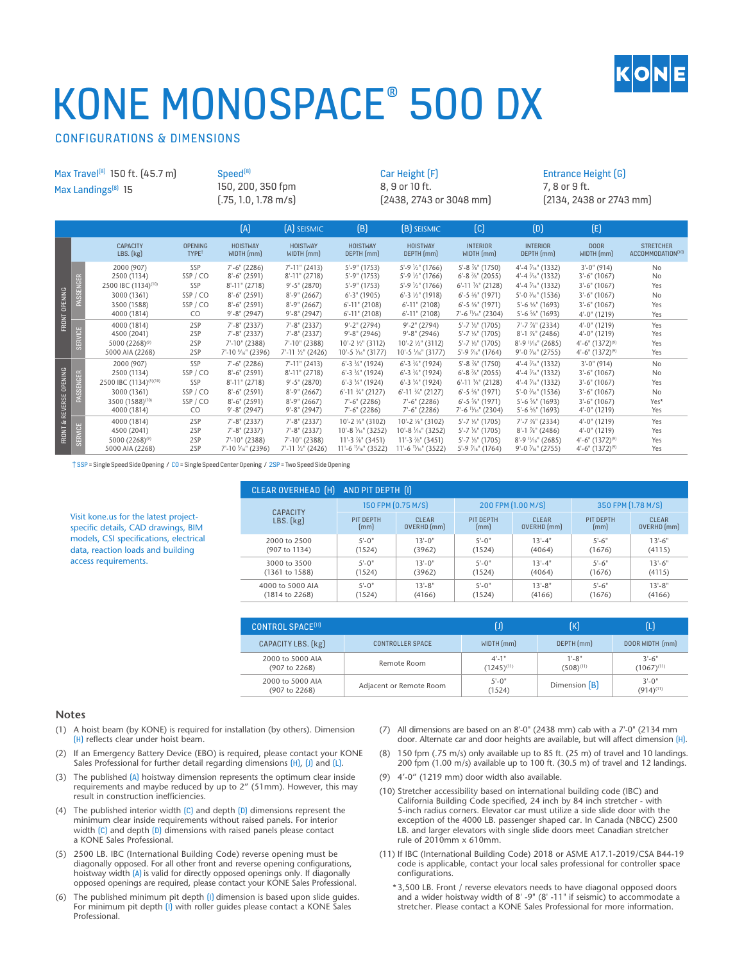

# KONE MONOSPACE® 500 DX

## CONFIGURATIONS & DIMENSIONS

Visit kone.us for the latest projectspecific details, CAD drawings, BIM models, CSI specifications, electrical data, reaction loads and building

access requirements.

| Max Travel <sup>(8)</sup> 150 ft. (45.7 m)<br>Max Landings <sup>[8]</sup> 15 |           |                                                                                                      |                                                 | Speed <sup>[8]</sup><br>150, 200, 350 fpm<br>$(.75, 1.0, 1.78 \text{ m/s})$                                         |                                                                                                                        | Car Height (F)<br>8, 9 or 10 ft.<br>(2438, 2743 or 3048 mm)                                                                                                   |                                                                                                                                                                              |                                                                                                                                                                                | Entrance Height (G)<br>7, 8 or 9 ft.<br>$[2134, 2438$ or 2743 mm                                                                                                          |                                                                                                             |                                                                |
|------------------------------------------------------------------------------|-----------|------------------------------------------------------------------------------------------------------|-------------------------------------------------|---------------------------------------------------------------------------------------------------------------------|------------------------------------------------------------------------------------------------------------------------|---------------------------------------------------------------------------------------------------------------------------------------------------------------|------------------------------------------------------------------------------------------------------------------------------------------------------------------------------|--------------------------------------------------------------------------------------------------------------------------------------------------------------------------------|---------------------------------------------------------------------------------------------------------------------------------------------------------------------------|-------------------------------------------------------------------------------------------------------------|----------------------------------------------------------------|
|                                                                              |           |                                                                                                      |                                                 | (A)                                                                                                                 | [A] SEISMIC                                                                                                            | (B)                                                                                                                                                           | <b>(B)</b> SEISMIC                                                                                                                                                           | $\left[\mathbb{C}\right]$                                                                                                                                                      | (D)                                                                                                                                                                       | (E)                                                                                                         |                                                                |
| FRONT OPENING                                                                |           | <b>CAPACITY</b><br>LBS. (kg)                                                                         | <b>OPENING</b><br>TYPE <sup>t</sup>             | <b>HOISTWAY</b><br>WIDTH (mm)                                                                                       | <b>HOISTWAY</b><br>WIDTH (mm)                                                                                          | <b>HOISTWAY</b><br>DEPTH (mm)                                                                                                                                 | <b>HOISTWAY</b><br>DEPTH (mm)                                                                                                                                                | <b>INTERIOR</b><br>WIDTH (mm)                                                                                                                                                  | <b>INTERIOR</b><br>DEPTH (mm)                                                                                                                                             | <b>DOOR</b><br>WIDTH (mm)                                                                                   | <b>STRETCHER</b><br>ACCOMMODATION <sup>(10)</sup>              |
|                                                                              | PASSENGER | 2000 (907)<br>2500 (1134)<br>2500 IBC (1134)(10)<br>3000 (1361)<br>3500 (1588)<br>4000 (1814)        | SSP<br>SSP/CO<br>SSP<br>SSP/CO<br>SSP/CO<br>CO. | $7'-6''$ (2286)<br>$8'-6''$ (2591)<br>$8'-11''(2718)$<br>$8'-6''$ (2591)<br>$8'-6''$ (2591)<br>$9' - 8''$ (2947)    | $7'$ -11" (2413)<br>$8' - 11''$ (2718)<br>$9' - 5''$ (2870)<br>$8'-9''$ (2667)<br>$8'-9''$ (2667)<br>$9' - 8''$ (2947) | $5' - 9''$ (1753)<br>$5' - 9''(1753)$<br>$5' - 9''$ (1753)<br>$6' - 3''$ (1905)<br>$6'$ -11" (2108)<br>$6'$ -11" (2108)                                       | $5'$ -9 $\frac{1}{2}$ " (1766)<br>$5'$ -9 $\frac{1}{2}$ " (1766)<br>$5'$ -9 $\frac{1}{2}$ " (1766)<br>$6'$ -3 $\frac{1}{2}$ " (1918)<br>$6'$ -11" (2108)<br>$6'$ -11" (2108) | $5'-8$ %" (1750)<br>$6' - 8$ %" (2055)<br>$6'$ -11 $\frac{3}{4}''$ (2128)<br>$6'$ -5 $\frac{5}{8}$ " (1971)<br>$6'$ -5 $\frac{5}{8}$ " (1971)<br>7'-6 $\frac{11}{16}$ " (2304) | 4'-4 1/ <sub>16</sub> " (1332)<br>$4'-4$ $\frac{7}{6}$ " (1332)<br>$4'-4$ $\frac{7}{6}$ " (1332)<br>$5'-0$ $\frac{7}{6}$ " (1536)<br>$5'-6$ %" (1693)<br>$5'-6$ %" (1693) | $3'-0''(914)$<br>$3'-6''$ (1067)<br>$3'-6''$ (1067)<br>$3'-6''$ (1067)<br>$3'-6''$ (1067)<br>$4'-0''(1219)$ | <b>No</b><br><b>No</b><br>Yes<br><b>No</b><br>Yes<br>Yes       |
|                                                                              | SERVICE   | 4000 (1814)<br>4500 (2041)<br>5000 (2268) <sup>(9)</sup><br>5000 AIA (2268)                          | 2SP<br>2SP<br>2SP<br>2SP                        | $7'-8''$ (2337)<br>$7' - 8''$ (2337)<br>7'-10" (2388)<br>7'-10 % (2396)                                             | $7'-8''$ (2337)<br>$7'-8''$ (2337)<br>7'-10" (2388)<br>7'-11 1/2" (2426)                                               | $9'-2''(2794)$<br>$9' - 8''$ (2946)<br>$10'-2$ $\frac{1}{2}$ (3112)<br>10'-5 1/16" (3177)                                                                     | $9'-2''$ (2794)<br>$9'-8''$ (2946)<br>10'-2 1/2" (3112)<br>10'-5 1/ <sub>16</sub> " (3177)                                                                                   | $5' - 7'$ %" (1705)<br>$5'$ -7 $\frac{1}{8}$ " (1705)<br>$5'$ -7 $\frac{1}{8}$ " (1705)<br>5'-9 $\frac{7}{6}$ " (1764)                                                         | $7' - 7$ $\frac{7}{8}$ " (2334)<br>$8'-1$ %" (2486)<br>$8'-9$ $\frac{11}{16}$ (2685)<br>$9'-0$ $\frac{7}{6}$ (2755)                                                       | $4'-0''(1219)$<br>$4'-0''(1219)$<br>$4'-6''$ (1372) <sup>(9)</sup><br>$4'-6''$ (1372) <sup>(9)</sup>        | Yes<br>Yes<br>Yes<br>Yes                                       |
| FRONT & REVERSE OPENING                                                      | PASSENGER | 2000 (907)<br>2500 (1134)<br>2500 IBC (1134)(5)(10)<br>3000 (1361)<br>3500 (1588)(10)<br>4000 (1814) | SSP<br>SSP/CO<br>SSP<br>SSP/CO<br>SSP/CO<br>CO. | $7'-6''$ (2286)<br>$8'-6''$ (2591)<br>$8' - 11''$ (2718)<br>$8'-6''$ (2591)<br>$8'-6''$ (2591)<br>$9' - 8''$ (2947) | $7'-11''$ (2413)<br>$8'-11''(2718)$<br>$9' - 5''$ (2870)<br>$8'-9''$ (2667)<br>$8'-9''$ (2667)<br>$9' - 8''$ (2947)    | $6'$ -3 $\frac{3}{4}$ " (1924)<br>$6'$ -3 $\frac{3}{4}$ " (1924)<br>$6'$ -3 $\frac{3}{4}$ " (1924)<br>6'-11 3/4" (2127)<br>$7'-6''$ (2286)<br>$7'-6''$ (2286) | $6'$ -3 $\frac{3}{4}$ " (1924)<br>$6'$ -3 $\frac{3}{4}$ " (1924)<br>$6'$ -3 $\frac{3}{4}$ " (1924)<br>$6'$ -11 $\frac{3}{4}$ " (2127)<br>$7'-6''$ (2286)<br>$7'-6''$ (2286)  | 5'-8 %" (1750)<br>$6'$ -8 $\frac{7}{8}$ " (2055)<br>$6'$ -11 $\frac{1}{4}$ " (2128)<br>$6'$ -5 $\frac{5}{8}$ " (1971)<br>$6' - 5$ %" (1971)<br>7'-6 $\frac{11}{16}$ " (2304)   | $4'-4$ $\frac{7}{6}$ (1332)<br>$4'-4\frac{7}{16}$ " (1332)<br>$4'-4$ $\frac{7}{6}$ " (1332)<br>$5'-0$ $\frac{7}{6}$ (1536)<br>$5'-6$ %" (1693)<br>$5'-6$ %" (1693)        | $3'-0''(914)$<br>$3'-6''$ (1067)<br>$3'-6''$ (1067)<br>$3'-6''$ (1067)<br>$3'-6''$ (1067)<br>$4'-0''(1219)$ | N <sub>0</sub><br><b>No</b><br>Yes<br><b>No</b><br>Yes*<br>Yes |
|                                                                              | SERVICE   | 4000 (1814)<br>4500 (2041)<br>5000 (2268) <sup>(9)</sup><br>5000 AIA (2268)                          | 2SP<br>2SP<br>2SP<br>2SP                        | $7'-8''$ (2337)<br>$7'-8''$ (2337)<br>$7'-10''(2388)$<br>7'-10 $\frac{5}{16}$ " (2396)                              | $7'-8''$ (2337)<br>$7'-8''$ (2337)<br>$7'-10''$ (2388)<br>$7'$ -11 $\frac{1}{2}$ " (2426)                              | 10'-2 1/8" (3102)<br>10'-8 1/16" (3252)<br>11'-3 %" (3451)<br>$11'-6$ $\frac{11}{6}$ (3522)                                                                   | 10'-2 %" (3102)<br>$10^{\circ} - 8 \frac{1}{16}$ (3252)<br>11'-3 %" (3451)<br>$11'-6$ $\frac{11}{6}$ (3522)                                                                  | $5'$ -7 $\frac{1}{8}$ " (1705)<br>$5'$ -7 $\frac{1}{8}$ " (1705)<br>$5'$ -7 $\frac{1}{8}$ " (1705)<br>$5'$ -9 $\frac{7}{16}$ " (1764)                                          | $7'$ -7 $\frac{7}{8}$ " (2334)<br>$8'$ -1 $\frac{7}{8}$ " (2486)<br>$8'-9$ $\frac{11}{16}$ (2685)<br>$9'-0$ $\frac{7}{16}$ " (2755)                                       | $4'-0''(1219)$<br>$4'-0''(1219)$<br>$4'-6''$ (1372) <sup>(9)</sup><br>$4'-6''$ (1372) <sup>(9)</sup>        | Yes<br>Yes<br>Yes<br>Yes                                       |

† SSP = Single Speed Side Opening / CO = Single Speed Center Opening / 2SP = Two Speed Side Opening

| CLEAR OVERHEAD [H] | AND PIT DEPTH [I]  |              |                    |             |                    |              |  |
|--------------------|--------------------|--------------|--------------------|-------------|--------------------|--------------|--|
| <b>CAPACITY</b>    | 150 FPM [0.75 M/S] |              | 200 FPM (1.00 M/S) |             | 350 FPM [1.78 M/S] |              |  |
| $LBS.$ $(kg)$      | PIT DEPTH          | <b>CLEAR</b> | PIT DEPTH          | CLEAR       | PIT DEPTH          | <b>CLEAR</b> |  |
|                    | [mm]               | OVERHD (mm)  | [mm]               | OVERHD (mm) | [mm]               | OVERHD (mm)  |  |
| 2000 to 2500       | $5' - 0''$         | $13 - 0$ "   | $5' - 0''$         | $13' - 4"$  | $5'-6''$           | $13'-6''$    |  |
| (907 to 1134)      | (1524)             | (3962)       | (1524)             | (4064)      | (1676)             | (4115)       |  |
| 3000 to 3500       | $5' - 0''$         | $13' - 0''$  | $5' - 0''$         | $13' - 4"$  | $5'-6''$           | $13'-6''$    |  |
| (1361 to 1588)     | (1524)             | (3962)       | (1524)             | (4064)      | (1676)             | (4115)       |  |
| 4000 to 5000 AIA   | $5' - 0''$         | $13' - 8"$   | $5' - 0''$         | $13' - 8"$  | $5'-6''$           | $13' - 8''$  |  |
| (1814 to 2268)     | (1524)             | (4166)       | (1524)             | (4166)      | (1676)             | (4166)       |  |

| CONTROL SPACE <sup>[11]</sup>     |                         |                               | ſК                           | (L)                          |  |
|-----------------------------------|-------------------------|-------------------------------|------------------------------|------------------------------|--|
| CAPACITY LBS. [kg]                | CONTROLLER SPACE        | WIDTH (mm)                    | DEPTH (mm)                   | DOOR WIDTH [mm]              |  |
| 2000 to 5000 AIA<br>(907 to 2268) | Remote Room             | $4' - 1''$<br>$(1245)^{(11)}$ | $1' - 8''$<br>$(508)^{(11)}$ | $3'-6''$<br>$(1067)^{(11)}$  |  |
| 2000 to 5000 AIA<br>(907 to 2268) | Adjacent or Remote Room | $5' - 0''$<br>(1524)          | Dimension [B]                | $3' - 0''$<br>$(914)^{(11)}$ |  |

### **Notes**

- (1) A hoist beam (by KONE) is required for installation (by others). Dimension (H) reflects clear under hoist beam.
- If an Emergency Battery Device (EBO) is required, please contact your KONE Sales Professional for further detail regarding dimensions (H), (J) and (L).
- (3) The published (A) hoistway dimension represents the optimum clear inside requirements and maybe reduced by up to 2" (51mm). However, this may result in construction inefficiencies.
- (4) The published interior width (C) and depth (D) dimensions represent the minimum clear inside requirements without raised panels. For interior width  $(C)$  and depth  $(D)$  dimensions with raised panels please contact a KONE Sales Professional.
- (5) 2500 LB. IBC (International Building Code) reverse opening must be diagonally opposed. For all other front and reverse opening configurations, hoistway width (A) is valid for directly opposed openings only. If diagonally opposed openings are required, please contact your KONE Sales Professional.
- (6) The published minimum pit depth (I) dimension is based upon slide guides. For minimum pit depth (I) with roller guides please contact a KONE Sales Professional.
- (7) All dimensions are based on an 8'-0" (2438 mm) cab with a 7'-0" (2134 mm door. Alternate car and door heights are available, but will affect dimension (H).
- (8) 150 fpm (.75 m/s) only available up to 85 ft. (25 m) of travel and 10 landings. 200 fpm (1.00 m/s) available up to 100 ft. (30.5 m) of travel and 12 landings.
- (9) 4'-0" (1219 mm) door width also available.
- (10) Stretcher accessibility based on international building code (IBC) and California Building Code specified, 24 inch by 84 inch stretcher - with 5-inch radius corners. Elevator car must utilize a side slide door with the exception of the 4000 LB. passenger shaped car. In Canada (NBCC) 2500 LB. and larger elevators with single slide doors meet Canadian stretcher rule of 2010mm x 610mm.
- (11) If IBC (International Building Code) 2018 or ASME A17.1-2019/CSA B44-19 code is applicable, contact your local sales professional for controller space configurations.
	- \*3,500 LB. Front / reverse elevators needs to have diagonal opposed doors and a wider hoistway width of 8' -9" (8' -11" if seismic) to accommodate a stretcher. Please contact a KONE Sales Professional for more information.